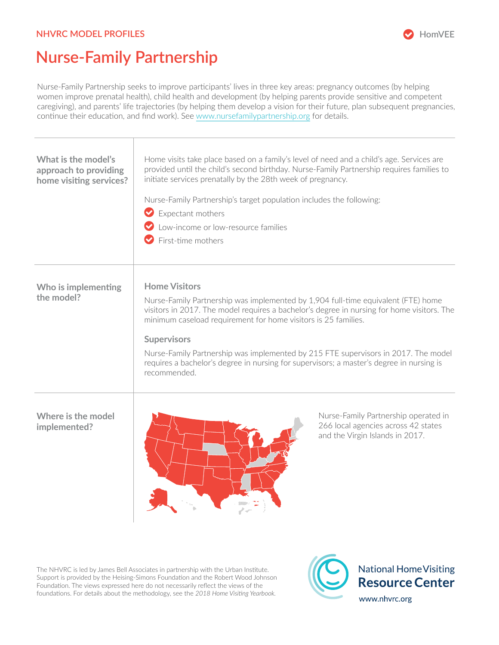## **NHVRC MODEL PROFILES**



## **Nurse-Family Partnership**

Nurse-Family Partnership seeks to improve participants' lives in three key areas: pregnancy outcomes (by helping women improve prenatal health), child health and development (by helping parents provide sensitive and competent caregiving), and parents' life trajectories (by helping them develop a vision for their future, plan subsequent pregnancies, continue their education, and find work). See [www.nursefamilypartnership.org](http://www.nursefamilypartnership.org) for details.

| What is the model's<br>approach to providing<br>home visiting services? | Home visits take place based on a family's level of need and a child's age. Services are<br>provided until the child's second birthday. Nurse-Family Partnership requires families to<br>initiate services prenatally by the 28th week of pregnancy.<br>Nurse-Family Partnership's target population includes the following:<br>Expectant mothers<br>Low-income or low-resource families<br>$\bullet$ First-time mothers                                                                          |
|-------------------------------------------------------------------------|---------------------------------------------------------------------------------------------------------------------------------------------------------------------------------------------------------------------------------------------------------------------------------------------------------------------------------------------------------------------------------------------------------------------------------------------------------------------------------------------------|
| Who is implementing<br>the model?                                       | <b>Home Visitors</b><br>Nurse-Family Partnership was implemented by 1,904 full-time equivalent (FTE) home<br>visitors in 2017. The model requires a bachelor's degree in nursing for home visitors. The<br>minimum caseload requirement for home visitors is 25 families.<br><b>Supervisors</b><br>Nurse-Family Partnership was implemented by 215 FTE supervisors in 2017. The model<br>requires a bachelor's degree in nursing for supervisors; a master's degree in nursing is<br>recommended. |
| Where is the model<br>implemented?                                      | Nurse-Family Partnership operated in<br>266 local agencies across 42 states<br>and the Virgin Islands in 2017.                                                                                                                                                                                                                                                                                                                                                                                    |

The NHVRC is led by James Bell Associates in partnership with the Urban Institute. Support is provided by the Heising-Simons Foundation and the Robert Wood Johnson Foundation. The views expressed here do not necessarily reflect the views of the foundations. For details about the methodology, see the *2018 Home Visiting Yearbook.*